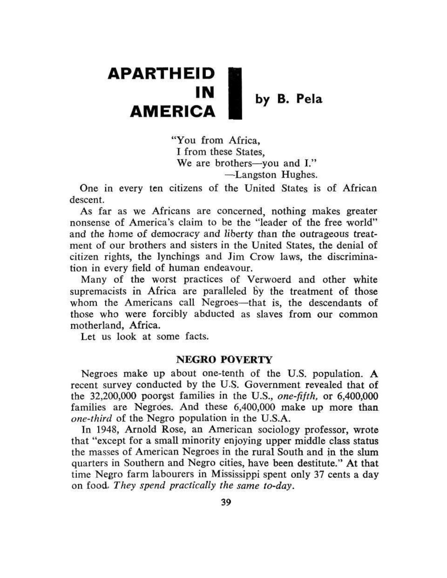# **APARTHEID**  I N by B. Pela **AMERICA**

"You from Africa, I from these States, We are brothers—you and I." —Langston Hughes.

One in every ten citizens of the United States is of African descent.

As far as we Africans are concerned, nothing makes greater nonsense of America's claim to be the "leader of the free world" and the home of democracy and liberty than the outrageous treatment of our brothers and sisters in the United States, the denial of citizen rights, the lynchings and Jim Crow laws, the discrimination in every field of human endeavour.

Many of the worst practices of Verwoerd and other white supremacists in Africa are paralleled by the treatment of those whom the Americans call Negroes—that is, the descendants of those who were forcibly abducted as slaves from our common motherland, Africa.

Let us look at some facts.

#### **NEGRO POVERTY**

Negroes make up about one-tenth of the U.S. population. A recent survey conducted by the U.S. Government revealed that of the 32,200,000 poorest families in the U.S., *one-fifth,* or 6,400,000 families are Negroes. And these 6,400,000 make up more than *one-third* of the Negro population in the U.S.A.

In 1948, Arnold Rose, an American sociology professor, wrote that "except for a small minority enjoying upper middle class status the masses of American Negroes in the rural South and in the slum quarters in Southern and Negro cities, have been destitute." At that time Negro farm labourers in Mississippi spent only 37 cents a day on food. *They spend practically the same to-day.*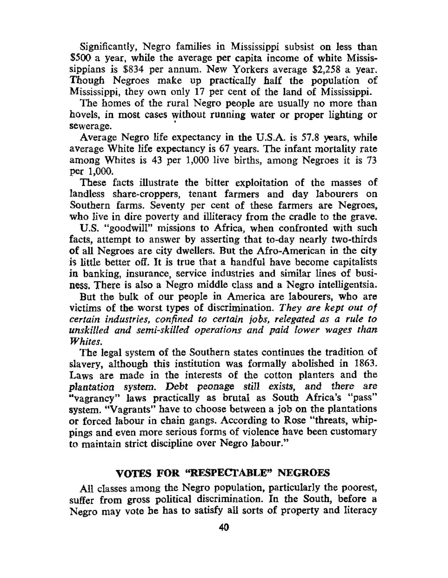Significantly, Negro families in Mississippi subsist on less than \$500 a year, while the average per capita income of white Mississippians is \$834 per annum. New Yorkers average \$2,258 a year. Though Negroes make up practically half the population of Mississippi, they own only 17 per cent of the land of Mississippi.

The homes of the rural Negro people are usually no more than hovels, in most cases without running water or proper lighting or sewerage.

Average Negro life expectancy in the U.S.A. is 57.8 years, while average White life expectancy is 67 years. The infant mortality rate among Whites is 43 per 1,000 live births, among Negroes it is 73 per 1,000.

These facts illustrate the bitter exploitation of the masses of landless share-croppers, tenant farmers and day labourers on Southern farms. Seventy per cent of these farmers are Negroes, who live in dire poverty and illiteracy from the cradle to the grave.

U.S. "goodwill" missions to Africa, when confronted with such facts, attempt to answer by asserting that to-day nearly two-thirds of all Negroes are city dwellers. But the Afro-American in the city is little better off. It is true that a handful have become capitalists in banking, insurance, service industries and similar lines of business. There is also a Negro middle class and a Negro intelligentsia.

But the bulk of our people in America are labourers, who are victims of the worst types of discrimination. *They are kept out of certain industries, confined to certain jobs, relegated as a rule to unskilled and semi-skilled operations and paid lower wages than Whites.* 

The legal system of the Southern states continues the tradition of slavery, although this institution was formally abolished in 1863. Laws are made in the interests of the cotton planters and the plantation system. Debt peonage still exists, and there are "vagrancy" laws practically as brutal as South Africa's "pass" system. "Vagrants" have to choose between a job on the plantations or forced labour in chain gangs. According to Rose "threats, whippings and even more serious forms of violence have been customary to maintain strict discipline over Negro labour."

# **VOTES FOR "RESPECTABLE" NEGROES**

All classes among the Negro population, particularly the poorest, suffer from gross political discrimination. In the South, before a Negro may vote he has to satisfy all sorts of property and literacy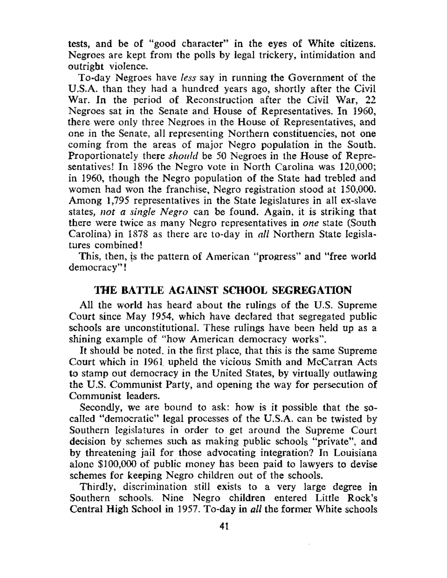tests, and be of "good character" in the eyes of White citizens. Negroes are kept from the polls by legal trickery, intimidation and outright violence.

To-day Negroes have *less* say in running the Government of the U.S.A. than they had a hundred years ago, shortly after the Civil War. In the period of Reconstruction after the Civil War, 22 Negroes sat in the Senate and House of Representatives. In 1960, there were only three Negroes in the House of Representatives, and one in the Senate, all representing Northern constituencies, not one coming from the areas of major Negro population in the South. Proportionately there *should* be 50 Negroes in the House of Representatives! In 1896 the Negro vote in North Carolina was 120,000; in 1960, though the Negro population of the State had trebled and women had won the franchise, Negro registration stood at 150,000. Among 1,795 representatives in the State legislatures in all ex-slave states, *not a single Negro* can be found. Again, it is striking that there were twice as many Negro representatives in *one* state (South Carolina) in 1878 as there are to-day in *all* Northern State legislatures combined!

This, then, is the pattern of American "progress" and "free world democracy"!

### **THE BATTLE AGAINST SCHOOL SEGREGATION**

All the world has heard about the rulings of the U.S. Supreme Court since May 1954, which have declared that segregated public schools are unconstitutional. These rulings have been held up as a shining example of "how American democracy works".

It should be noted, in the first place, that this is the same Supreme Court which in 1961 upheld the vicious Smith and McCarran Acts to stamp out democracy in the United States, by virtually outlawing the U.S. Communist Party, and opening the way for persecution of Communist leaders.

Secondly, we are bound to ask: how is it possible that the socalled "democratic" legal processes of the U.S.A. can be twisted by Southern legislatures in order to get around the Supreme Court decision by schemes such as making public schools "private", and by threatening jail for those advocating integration? In Louisiana alone \$100,000 of public money has been paid to lawyers to devise schemes for keeping Negro children out of the schools.

Thirdly, discrimination still exists to a very large degree in Southern schools. Nine Negro children entered Little Rock's Central High School in 1957. To-day in *all* the former White schools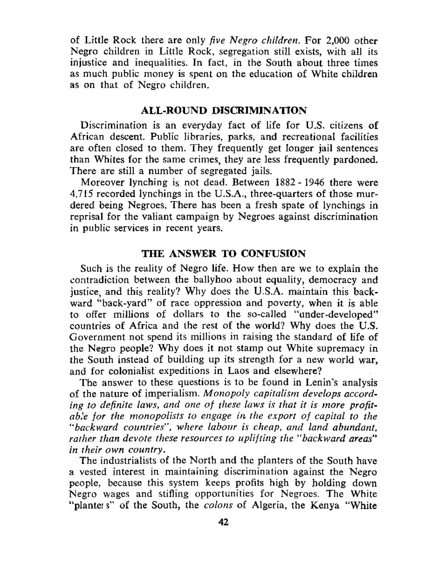of Little Rock there are only *five Negro children.* For 2,000 other Negro children in Little Rock, segregation still exists, with all its injustice and inequalities. In fact, in the South about three times as much public money is spent on the education of White children as on that of Negro children.

## **ALL-ROUND DISCRIMINATION**

Discrimination is an everyday fact of life for U.S. citizens of African descent. Public libraries, parks, and recreational facilities are often closed to them. They frequently get longer jail sentences than Whites for the same crimes, they are less frequently pardoned. There are still a number of segregated jails.

Moreover lynching is not dead. Between 1882- 1946 there were 4,715 recorded lynchings in the U.S.A., three-quarters of those murdered being Negroes. There has been a fresh spate of lynchings in reprisal for the valiant campaign by Negroes against discrimination in public services in recent years.

#### **THE ANSWER TO CONFUSION**

Such is the reality of Negro life. How then are we to explain the contradiction between the ballyhoo about equality, democracy and justice, and this reality? Why does the U.S.A. maintain this backward "back-yard" of race oppression and poverty, when it is able to offer millions of dollars to the so-called "under-developed" countries of Africa and the rest of the world? Why does the U.S. Government not spend its millions in raising the standard of life of the Negro people? Why does it not stamp out White supremacy in the South instead of building up its strength for a new world war, and for colonialist expeditions in Laos and elsewhere?

The answer to these questions is to be found in Lenin's analysis of the nature of imperialism. *Monopoly capitalism develops according to definite laws, and one of these laws is that it is more profitable for the monopolists to engage in the export of capital to the "backward countries", where labour is cheap, and land abundant, rather than devote these resources to uplifting the "backward areas" in their own country.* 

The industrialists of the North and the planters of the South have a vested interest in maintaining discrimination against the Negro people, because this system keeps profits high by holding down Negro wages and stifling opportunities for Negroes. The White "planter s" of the South, the *colons* of Algeria, the Kenya "White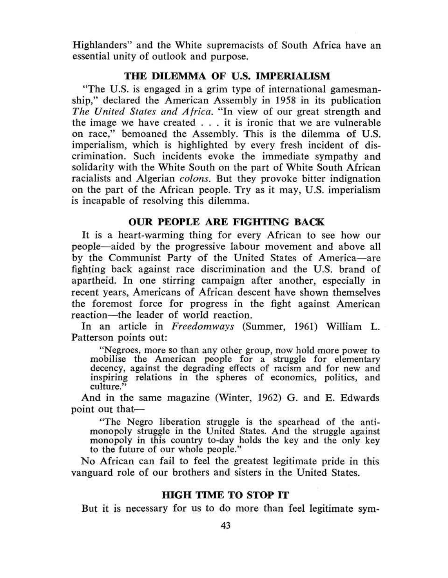Highlanders'' and the White supremacists of South Africa have an essential unity of outlook and purpose.

#### **THE DILEMMA OF U.S. IMPERIALISM**

"The U.S. is engaged in a grim type of international gamesmanship," declared the American Assembly in 1958 in its publication *The United States and Africa.* "In view of our great strength and the image we have created .. . it is ironic that we are vulnerable on race," bemoaned the Assembly. This is the dilemma of U.S. imperialism, which is highlighted by every fresh incident of discrimination. Such incidents evoke the immediate sympathy and solidarity with the White South on the part of White South African racialists and Algerian *colons.* But they provoke bitter indignation on the part of the African people. Try as it may, U.S. imperialism is incapable of resolving this dilemma.

## **OUR PEOPLE ARE FIGHTING BACK**

**It** is a heart-warming thing for every African to see how our people—aided by the progressive labour movement and above all by the Communist Party of the United States of America—are fighting back against race discrimination and the U.S. brand of apartheid. In one stirring campaign after another, especially in recent years, Americans of African descent have shown themselves the foremost force for progress in the fight against American reaction—the leader of world reaction.

In an article in *Freedomways* (Summer, 1961) William L. Patterson points out:

"Negroes, more so than any other group, now hold more power to mobilise the American people for a struggle for elementary decency, against the degrading effects of racism and for new and inspiring relations in the spheres of economics, politics, and culture."

And in the same magazine (Winter, 1962) G. and E. Edwards point out that—

"The Negro liberation struggle is the spearhead of the antimonopoly struggle in the United States. And the struggle against monopoly in this country to-day holds the key and the only key to the future of our whole people."

No African can fail to feel the greatest legitimate pride in this vanguard role of our brothers and sisters in the United States.

#### **HIGH TIME TO STOP IT**

But it is necessary for us to do more than feel legitimate sym-